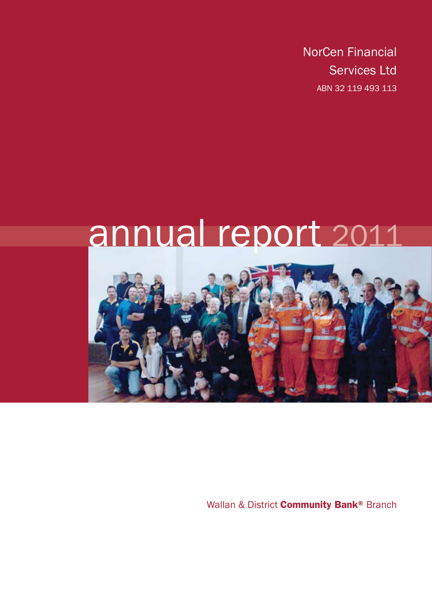NorCen Financial Services Ltd ABN 32 119 493 113

# annual report 2011



Wallan & District **Community Bank®** Branch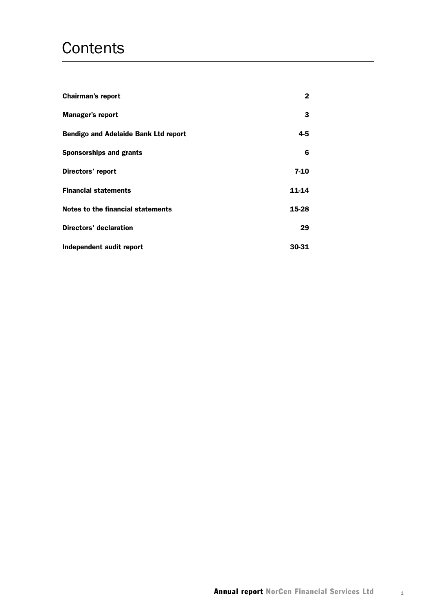## **Contents**

| <b>Chairman's report</b>                    | 2     |
|---------------------------------------------|-------|
| <b>Manager's report</b>                     | 3     |
| <b>Bendigo and Adelaide Bank Ltd report</b> | 4-5   |
| <b>Sponsorships and grants</b>              | 6     |
| Directors' report                           | 7-10  |
| <b>Financial statements</b>                 | 11-14 |
| Notes to the financial statements           | 15-28 |
| <b>Directors' declaration</b>               | 29    |
| Independent audit report                    | 30-31 |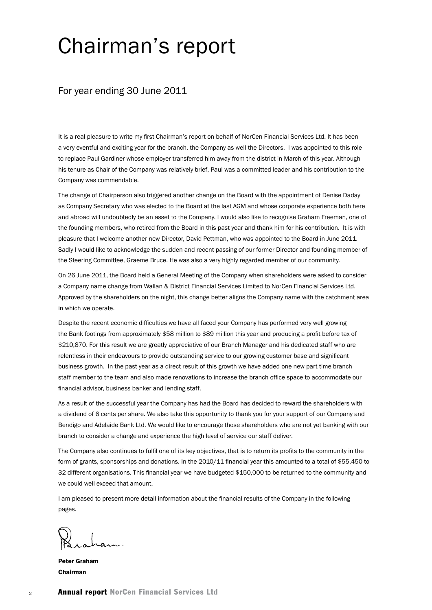# Chairman's report

### For year ending 30 June 2011

It is a real pleasure to write my first Chairman's report on behalf of NorCen Financial Services Ltd. It has been a very eventful and exciting year for the branch, the Company as well the Directors. I was appointed to this role to replace Paul Gardiner whose employer transferred him away from the district in March of this year. Although his tenure as Chair of the Company was relatively brief, Paul was a committed leader and his contribution to the Company was commendable.

The change of Chairperson also triggered another change on the Board with the appointment of Denise Daday as Company Secretary who was elected to the Board at the last AGM and whose corporate experience both here and abroad will undoubtedly be an asset to the Company. I would also like to recognise Graham Freeman, one of the founding members, who retired from the Board in this past year and thank him for his contribution. It is with pleasure that I welcome another new Director, David Pettman, who was appointed to the Board in June 2011. Sadly I would like to acknowledge the sudden and recent passing of our former Director and founding member of the Steering Committee, Graeme Bruce. He was also a very highly regarded member of our community.

On 26 June 2011, the Board held a General Meeting of the Company when shareholders were asked to consider a Company name change from Wallan & District Financial Services Limited to NorCen Financial Services Ltd. Approved by the shareholders on the night, this change better aligns the Company name with the catchment area in which we operate.

Despite the recent economic difficulties we have all faced your Company has performed very well growing the Bank footings from approximately \$58 million to \$89 million this year and producing a profit before tax of \$210,870. For this result we are greatly appreciative of our Branch Manager and his dedicated staff who are relentless in their endeavours to provide outstanding service to our growing customer base and significant business growth. In the past year as a direct result of this growth we have added one new part time branch staff member to the team and also made renovations to increase the branch office space to accommodate our financial advisor, business banker and lending staff.

As a result of the successful year the Company has had the Board has decided to reward the shareholders with a dividend of 6 cents per share. We also take this opportunity to thank you for your support of our Company and Bendigo and Adelaide Bank Ltd. We would like to encourage those shareholders who are not yet banking with our branch to consider a change and experience the high level of service our staff deliver.

The Company also continues to fulfil one of its key objectives, that is to return its profits to the community in the form of grants, sponsorships and donations. In the 2010/11 financial year this amounted to a total of \$55,450 to 32 different organisations. This financial year we have budgeted \$150,000 to be returned to the community and we could well exceed that amount.

I am pleased to present more detail information about the financial results of the Company in the following pages.

Peter Graham Chairman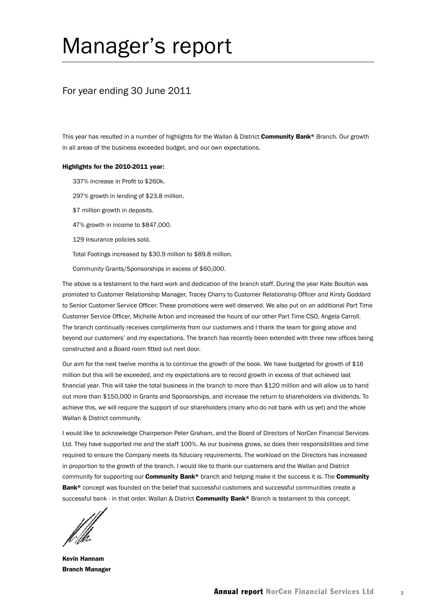## Manager's report

### For year ending 30 June 2011

This year has resulted in a number of highlights for the Wallan & District Community Bank® Branch. Our growth in all areas of the business exceeded budget, and our own expectations.

#### Highlights for the 2010-2011 year:

337% increase in Profit to \$260k.

297% growth in lending of \$23.8 million.

\$7 million growth in deposits.

47% growth in income to \$847,000.

129 Insurance policies sold.

Total Footings increased by \$30.9 million to \$89.8 million.

Community Grants/Sponsorships in excess of \$60,000.

The above is a testament to the hard work and dedication of the branch staff. During the year Kate Boulton was promoted to Customer Relationship Manager, Tracey Charry to Customer Relationship Officer and Kirsty Goddard to Senior Customer Service Officer. These promotions were well deserved. We also put on an additional Part Time Customer Service Officer, Michelle Arbon and increased the hours of our other Part Time CSO, Angela Carroll. The branch continually receives compliments from our customers and I thank the team for going above and beyond our customers' and my expectations. The branch has recently been extended with three new offices being constructed and a Board room fitted out next door.

Our aim for the next twelve months is to continue the growth of the book. We have budgeted for growth of \$16 million but this will be exceeded, and my expectations are to record growth in excess of that achieved last financial year. This will take the total business in the branch to more than \$120 million and will allow us to hand out more than \$150,000 in Grants and Sponsorships, and increase the return to shareholders via dividends. To achieve this, we will require the support of our shareholders (many who do not bank with us yet) and the whole Wallan & District community.

I would like to acknowledge Chairperson Peter Graham, and the Board of Directors of NorCen Financial Services Ltd. They have supported me and the staff 100%. As our business grows, so does their responsibilities and time required to ensure the Company meets its fiduciary requirements. The workload on the Directors has increased in proportion to the growth of the branch. I would like to thank our customers and the Wallan and District community for supporting our **Community Bank®** branch and helping make it the success it is. The Community Bank<sup>®</sup> concept was founded on the belief that successful customers and successful communities create a successful bank - in that order. Wallan & District Community Bank® Branch is testament to this concept.

Kevin Hannam Branch Manager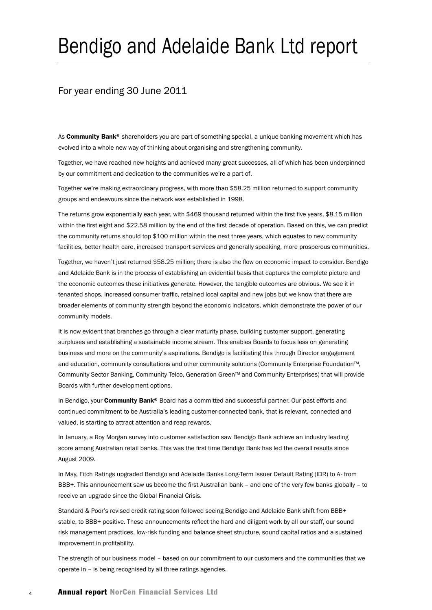# Bendigo and Adelaide Bank Ltd report

## For year ending 30 June 2011

As **Community Bank®** shareholders you are part of something special, a unique banking movement which has evolved into a whole new way of thinking about organising and strengthening community.

Together, we have reached new heights and achieved many great successes, all of which has been underpinned by our commitment and dedication to the communities we're a part of.

Together we're making extraordinary progress, with more than \$58.25 million returned to support community groups and endeavours since the network was established in 1998.

The returns grow exponentially each year, with \$469 thousand returned within the first five years, \$8.15 million within the first eight and \$22.58 million by the end of the first decade of operation. Based on this, we can predict the community returns should top \$100 million within the next three years, which equates to new community facilities, better health care, increased transport services and generally speaking, more prosperous communities.

Together, we haven't just returned \$58.25 million; there is also the flow on economic impact to consider. Bendigo and Adelaide Bank is in the process of establishing an evidential basis that captures the complete picture and the economic outcomes these initiatives generate. However, the tangible outcomes are obvious. We see it in tenanted shops, increased consumer traffic, retained local capital and new jobs but we know that there are broader elements of community strength beyond the economic indicators, which demonstrate the power of our community models.

It is now evident that branches go through a clear maturity phase, building customer support, generating surpluses and establishing a sustainable income stream. This enables Boards to focus less on generating business and more on the community's aspirations. Bendigo is facilitating this through Director engagement and education, community consultations and other community solutions (Community Enterprise Foundation™, Community Sector Banking, Community Telco, Generation Green™ and Community Enterprises) that will provide Boards with further development options.

In Bendigo, your **Community Bank®** Board has a committed and successful partner. Our past efforts and continued commitment to be Australia's leading customer-connected bank, that is relevant, connected and valued, is starting to attract attention and reap rewards.

In January, a Roy Morgan survey into customer satisfaction saw Bendigo Bank achieve an industry leading score among Australian retail banks. This was the first time Bendigo Bank has led the overall results since August 2009.

In May, Fitch Ratings upgraded Bendigo and Adelaide Banks Long-Term Issuer Default Rating (IDR) to A- from BBB+. This announcement saw us become the first Australian bank – and one of the very few banks globally – to receive an upgrade since the Global Financial Crisis.

Standard & Poor's revised credit rating soon followed seeing Bendigo and Adelaide Bank shift from BBB+ stable, to BBB+ positive. These announcements reflect the hard and diligent work by all our staff, our sound risk management practices, low-risk funding and balance sheet structure, sound capital ratios and a sustained improvement in profitability.

The strength of our business model – based on our commitment to our customers and the communities that we operate in – is being recognised by all three ratings agencies.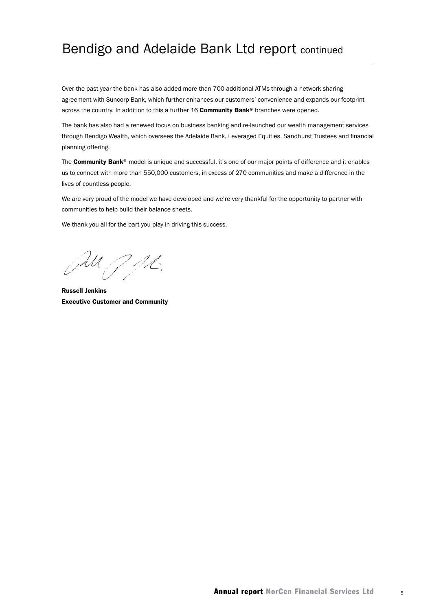## Bendigo and Adelaide Bank Ltd report continued

Over the past year the bank has also added more than 700 additional ATMs through a network sharing agreement with Suncorp Bank, which further enhances our customers' convenience and expands our footprint across the country. In addition to this a further 16 Community Bank® branches were opened.

The bank has also had a renewed focus on business banking and re-launched our wealth management services through Bendigo Wealth, which oversees the Adelaide Bank, Leveraged Equities, Sandhurst Trustees and financial planning offering.

The Community Bank® model is unique and successful, it's one of our major points of difference and it enables us to connect with more than 550,000 customers, in excess of 270 communities and make a difference in the lives of countless people.

We are very proud of the model we have developed and we're very thankful for the opportunity to partner with communities to help build their balance sheets.

We thank you all for the part you play in driving this success.

JU JAL.

Russell Jenkins Executive Customer and Community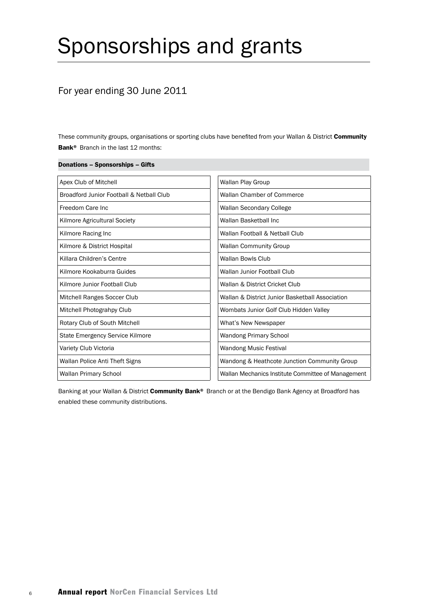# Sponsorships and grants

## For year ending 30 June 2011

Donations – Sponsorships – Gifts

These community groups, organisations or sporting clubs have benefited from your Wallan & District Community Bank<sup>®</sup> Branch in the last 12 months:

| Apex Club of Mitchell                    | Wallan Play Group                                  |
|------------------------------------------|----------------------------------------------------|
| Broadford Junior Football & Netball Club | Wallan Chamber of Commerce                         |
| Freedom Care Inc.                        | Wallan Secondary College                           |
| Kilmore Agricultural Society             | Wallan Basketball Inc                              |
| Kilmore Racing Inc                       | Wallan Football & Netball Club                     |
| Kilmore & District Hospital              | <b>Wallan Community Group</b>                      |
| Killara Children's Centre                | Wallan Bowls Club                                  |
| Kilmore Kookaburra Guides                | Wallan Junior Football Club                        |
| Kilmore Junior Football Club             | Wallan & District Cricket Club                     |
| Mitchell Ranges Soccer Club              | Wallan & District Junior Basketball Association    |
| Mitchell Photograhpy Club                | Wombats Junior Golf Club Hidden Valley             |
| Rotary Club of South Mitchell            | What's New Newspaper                               |
| State Emergency Service Kilmore          | <b>Wandong Primary School</b>                      |
| Variety Club Victoria                    | <b>Wandong Music Festival</b>                      |
| Wallan Police Anti Theft Signs           | Wandong & Heathcote Junction Community Group       |
| <b>Wallan Primary School</b>             | Wallan Mechanics Institute Committee of Management |

Banking at your Wallan & District Community Bank® Branch or at the Bendigo Bank Agency at Broadford has enabled these community distributions.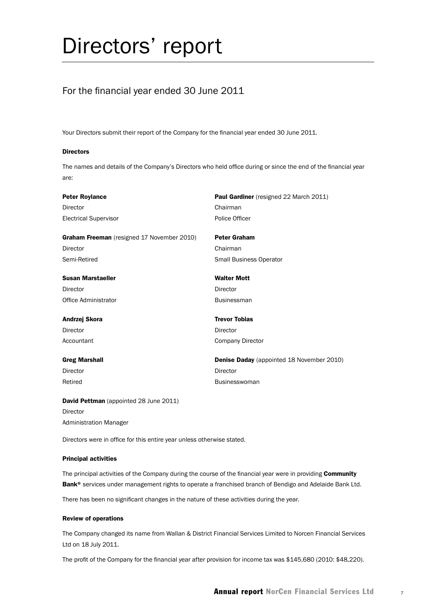# Directors' report

## For the financial year ended 30 June 2011

Your Directors submit their report of the Company for the financial year ended 30 June 2011.

#### Directors

The names and details of the Company's Directors who held office during or since the end of the financial year are:

| <b>Peter Roylance</b>                              | <b>Paul Gardiner</b> (resigned 22 March 2011)    |
|----------------------------------------------------|--------------------------------------------------|
| Director                                           | Chairman                                         |
| <b>Electrical Supervisor</b>                       | Police Officer                                   |
| Graham Freeman (resigned 17 November 2010)         | <b>Peter Graham</b>                              |
| Director                                           | Chairman                                         |
| Semi-Retired                                       | <b>Small Business Operator</b>                   |
| <b>Susan Marstaeller</b>                           | <b>Walter Mott</b>                               |
| Director                                           | <b>Director</b>                                  |
| Office Administrator                               | <b>Businessman</b>                               |
| Andrzej Skora                                      | <b>Trevor Tobias</b>                             |
| Director                                           | <b>Director</b>                                  |
| Accountant                                         | <b>Company Director</b>                          |
| <b>Greg Marshall</b>                               | <b>Denise Daday</b> (appointed 18 November 2010) |
| Director                                           | <b>Director</b>                                  |
| Retired                                            | <b>Businesswoman</b>                             |
| $D_{\rm crit}$ d Detturen (anneinted 00 lune 0011) |                                                  |

**David Pettman** (appointed 28 June 2011) Director Administration Manager

Directors were in office for this entire year unless otherwise stated.

#### Principal activities

The principal activities of the Company during the course of the financial year were in providing Community Bank<sup>®</sup> services under management rights to operate a franchised branch of Bendigo and Adelaide Bank Ltd.

There has been no significant changes in the nature of these activities during the year.

#### Review of operations

The Company changed its name from Wallan & District Financial Services Limited to Norcen Financial Services Ltd on 18 July 2011.

The profit of the Company for the financial year after provision for income tax was \$145,680 (2010: \$48,220).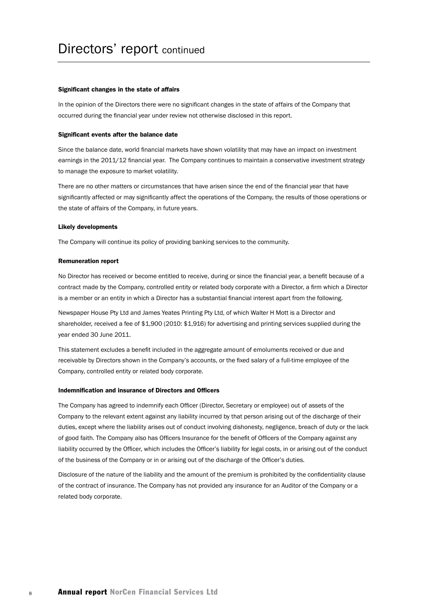#### Significant changes in the state of affairs

In the opinion of the Directors there were no significant changes in the state of affairs of the Company that occurred during the financial year under review not otherwise disclosed in this report.

#### Significant events after the balance date

Since the balance date, world financial markets have shown volatility that may have an impact on investment earnings in the 2011/12 financial year. The Company continues to maintain a conservative investment strategy to manage the exposure to market volatility.

There are no other matters or circumstances that have arisen since the end of the financial year that have significantly affected or may significantly affect the operations of the Company, the results of those operations or the state of affairs of the Company, in future years.

#### Likely developments

The Company will continue its policy of providing banking services to the community.

#### Remuneration report

No Director has received or become entitled to receive, during or since the financial year, a benefit because of a contract made by the Company, controlled entity or related body corporate with a Director, a firm which a Director is a member or an entity in which a Director has a substantial financial interest apart from the following.

Newspaper House Pty Ltd and James Yeates Printing Pty Ltd, of which Walter H Mott is a Director and shareholder, received a fee of \$1,900 (2010: \$1,916) for advertising and printing services supplied during the year ended 30 June 2011.

This statement excludes a benefit included in the aggregate amount of emoluments received or due and receivable by Directors shown in the Company's accounts, or the fixed salary of a full-time employee of the Company, controlled entity or related body corporate.

#### Indemnification and insurance of Directors and Officers

The Company has agreed to indemnify each Officer (Director, Secretary or employee) out of assets of the Company to the relevant extent against any liability incurred by that person arising out of the discharge of their duties, except where the liability arises out of conduct involving dishonesty, negligence, breach of duty or the lack of good faith. The Company also has Officers Insurance for the benefit of Officers of the Company against any liability occurred by the Officer, which includes the Officer's liability for legal costs, in or arising out of the conduct of the business of the Company or in or arising out of the discharge of the Officer's duties.

Disclosure of the nature of the liability and the amount of the premium is prohibited by the confidentiality clause of the contract of insurance. The Company has not provided any insurance for an Auditor of the Company or a related body corporate.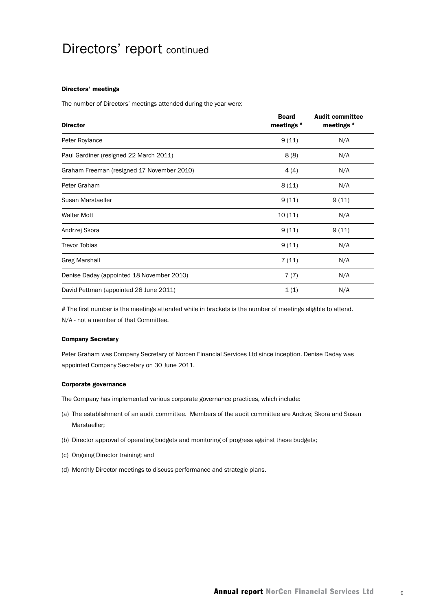#### Directors' meetings

The number of Directors' meetings attended during the year were:

| <b>Director</b>                            | <b>Board</b><br>meetings $*$ | <b>Audit committee</b><br>meetings $*$ |
|--------------------------------------------|------------------------------|----------------------------------------|
| Peter Roylance                             | 9(11)                        | N/A                                    |
| Paul Gardiner (resigned 22 March 2011)     | 8(8)                         | N/A                                    |
| Graham Freeman (resigned 17 November 2010) | 4(4)                         | N/A                                    |
| Peter Graham                               | 8(11)                        | N/A                                    |
| Susan Marstaeller                          | 9(11)                        | 9(11)                                  |
| <b>Walter Mott</b>                         | 10(11)                       | N/A                                    |
| Andrzej Skora                              | 9(11)                        | 9(11)                                  |
| <b>Trevor Tobias</b>                       | 9(11)                        | N/A                                    |
| <b>Greg Marshall</b>                       | 7(11)                        | N/A                                    |
| Denise Daday (appointed 18 November 2010)  | 7(7)                         | N/A                                    |
| David Pettman (appointed 28 June 2011)     | 1(1)                         | N/A                                    |

# The first number is the meetings attended while in brackets is the number of meetings eligible to attend. N/A - not a member of that Committee.

#### Company Secretary

Peter Graham was Company Secretary of Norcen Financial Services Ltd since inception. Denise Daday was appointed Company Secretary on 30 June 2011.

#### Corporate governance

The Company has implemented various corporate governance practices, which include:

- (a) The establishment of an audit committee. Members of the audit committee are Andrzej Skora and Susan Marstaeller;
- (b) Director approval of operating budgets and monitoring of progress against these budgets;
- (c) Ongoing Director training; and
- (d) Monthly Director meetings to discuss performance and strategic plans.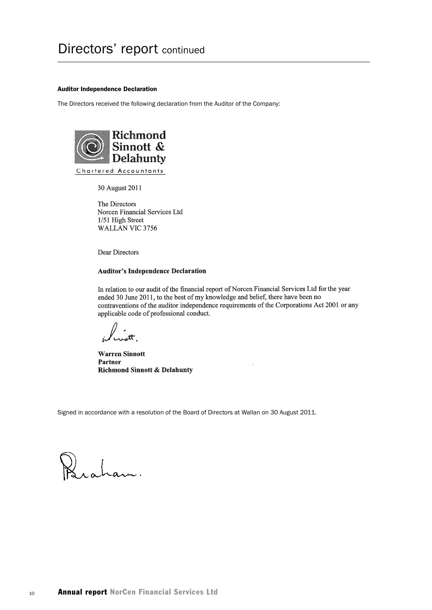#### Auditor Independence Declaration

The Directors received the following declaration from the Auditor of the Company:



30 August 2011

The Directors Norcen Financial Services Ltd 1/51 High Street WALLAN VIC 3756

Dear Directors

#### **Auditor's Independence Declaration**

In relation to our audit of the financial report of Norcen Financial Services Ltd for the year ended 30 June 2011, to the best of my knowledge and belief, there have been no contraventions of the auditor independence requirements of the Corporations Act 2001 or any applicable code of professional conduct.

**Warren Sinnott** Partner **Richmond Sinnott & Delahunty** 

Signed in accordance with a resolution of the Board of Directors at Wallan on 30 August 2011.

raham.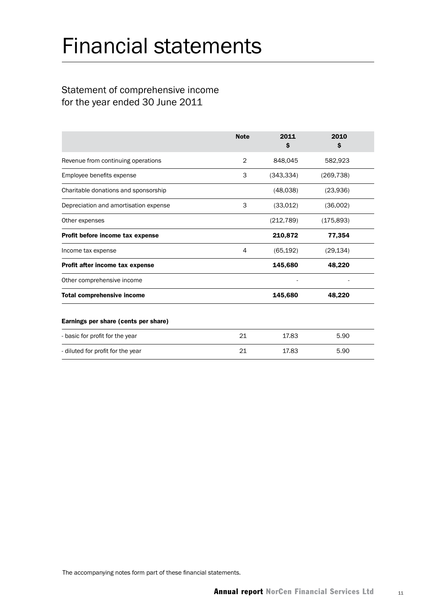# Financial statements

## Statement of comprehensive income for the year ended 30 June 2011

|                                       | <b>Note</b>    | 2011<br>s  | 2010<br>s  |  |
|---------------------------------------|----------------|------------|------------|--|
| Revenue from continuing operations    | $\overline{2}$ | 848,045    | 582,923    |  |
| Employee benefits expense             | 3              | (343, 334) | (269, 738) |  |
| Charitable donations and sponsorship  |                | (48,038)   | (23,936)   |  |
| Depreciation and amortisation expense | 3              | (33,012)   | (36,002)   |  |
| Other expenses                        |                | (212, 789) | (175, 893) |  |
| Profit before income tax expense      |                | 210,872    | 77,354     |  |
| Income tax expense                    | 4              | (65, 192)  | (29, 134)  |  |
| Profit after income tax expense       |                | 145,680    | 48,220     |  |
| Other comprehensive income            |                |            |            |  |
| <b>Total comprehensive income</b>     |                | 145,680    | 48,220     |  |
| Earnings per share (cents per share)  |                |            |            |  |
| - basic for profit for the year       | 21             | 17.83      | 5.90       |  |
| - diluted for profit for the year     | 21             | 17.83      | 5.90       |  |
|                                       |                |            |            |  |

The accompanying notes form part of these financial statements.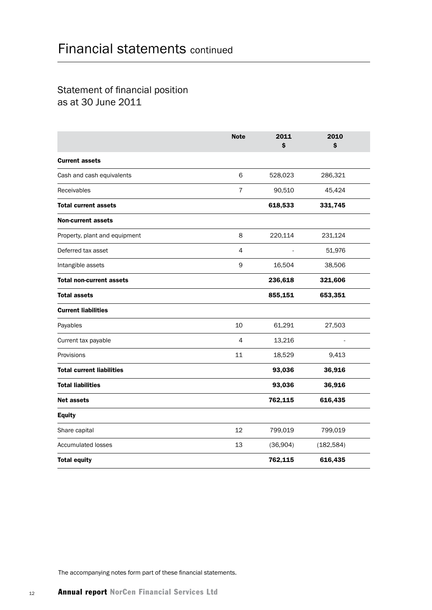## Statement of financial position as at 30 June 2011

|                                  | <b>Note</b>    | 2011<br>\$ | 2010<br>\$ |
|----------------------------------|----------------|------------|------------|
| <b>Current assets</b>            |                |            |            |
| Cash and cash equivalents        | 6              | 528,023    | 286,321    |
| Receivables                      | $\overline{7}$ | 90,510     | 45,424     |
| <b>Total current assets</b>      |                | 618,533    | 331,745    |
| <b>Non-current assets</b>        |                |            |            |
| Property, plant and equipment    | 8              | 220,114    | 231,124    |
| Deferred tax asset               | 4              |            | 51,976     |
| Intangible assets                | 9              | 16,504     | 38,506     |
| <b>Total non-current assets</b>  |                | 236,618    | 321,606    |
| <b>Total assets</b>              |                | 855,151    | 653,351    |
| <b>Current liabilities</b>       |                |            |            |
| Payables                         | 10             | 61,291     | 27,503     |
| Current tax payable              | 4              | 13,216     |            |
| Provisions                       | 11             | 18,529     | 9,413      |
| <b>Total current liabilities</b> |                | 93,036     | 36,916     |
| <b>Total liabilities</b>         |                | 93,036     | 36,916     |
| <b>Net assets</b>                |                | 762,115    | 616,435    |
| <b>Equity</b>                    |                |            |            |
| Share capital                    | 12             | 799,019    | 799,019    |
| <b>Accumulated losses</b>        | 13             | (36,904)   | (182, 584) |
| <b>Total equity</b>              |                | 762,115    | 616,435    |

The accompanying notes form part of these financial statements.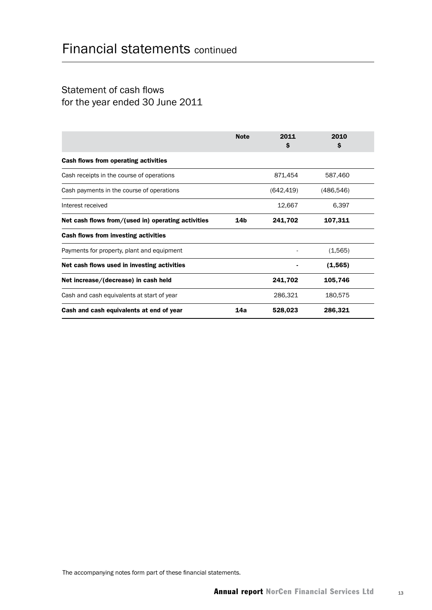## Statement of cash flows for the year ended 30 June 2011

|                                                    | <b>Note</b>     | 2011<br>\$ | 2010<br>S  |  |
|----------------------------------------------------|-----------------|------------|------------|--|
| Cash flows from operating activities               |                 |            |            |  |
| Cash receipts in the course of operations          |                 | 871,454    | 587,460    |  |
| Cash payments in the course of operations          |                 | (642, 419) | (486, 546) |  |
| Interest received                                  |                 | 12,667     | 6,397      |  |
| Net cash flows from/(used in) operating activities | 14 <sub>b</sub> | 241,702    | 107,311    |  |
| Cash flows from investing activities               |                 |            |            |  |
| Payments for property, plant and equipment         |                 |            | (1,565)    |  |
| Net cash flows used in investing activities        |                 |            | (1, 565)   |  |
| Net increase/(decrease) in cash held               |                 | 241,702    | 105,746    |  |
| Cash and cash equivalents at start of year         |                 | 286,321    | 180,575    |  |
| Cash and cash equivalents at end of year           | 14a             | 528,023    | 286,321    |  |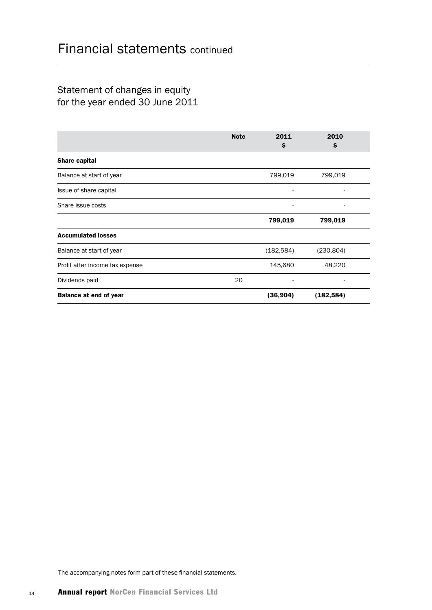## Statement of changes in equity for the year ended 30 June 2011

|                                 | <b>Note</b> | 2011<br>s  | 2010<br>\$               |
|---------------------------------|-------------|------------|--------------------------|
| Share capital                   |             |            |                          |
| Balance at start of year        |             | 799,019    | 799,019                  |
| Issue of share capital          |             | -          | $\overline{\phantom{0}}$ |
| Share issue costs               |             |            |                          |
|                                 |             | 799,019    | 799,019                  |
| <b>Accumulated losses</b>       |             |            |                          |
| Balance at start of year        |             | (182, 584) | (230, 804)               |
| Profit after income tax expense |             | 145,680    | 48,220                   |
| Dividends paid                  | 20          |            |                          |
| <b>Balance at end of year</b>   |             | (36, 904)  | (182, 584)               |

The accompanying notes form part of these financial statements.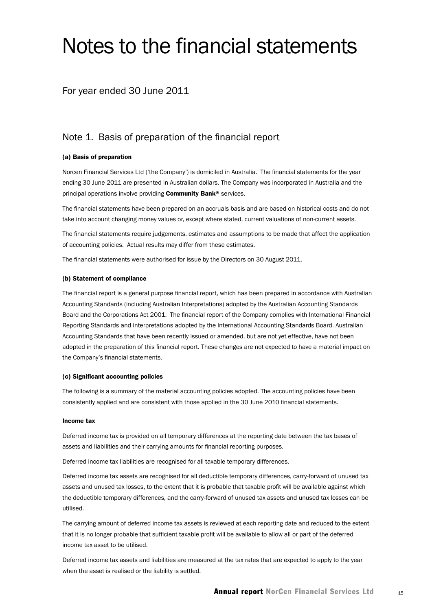# Notes to the financial statements

### For year ended 30 June 2011

## Note 1. Basis of preparation of the financial report

#### (a) Basis of preparation

Norcen Financial Services Ltd ('the Company') is domiciled in Australia. The financial statements for the year ending 30 June 2011 are presented in Australian dollars. The Company was incorporated in Australia and the principal operations involve providing Community Bank® services.

The financial statements have been prepared on an accruals basis and are based on historical costs and do not take into account changing money values or, except where stated, current valuations of non-current assets.

The financial statements require judgements, estimates and assumptions to be made that affect the application of accounting policies. Actual results may differ from these estimates.

The financial statements were authorised for issue by the Directors on 30 August 2011.

#### (b) Statement of compliance

The financial report is a general purpose financial report, which has been prepared in accordance with Australian Accounting Standards (including Australian Interpretations) adopted by the Australian Accounting Standards Board and the Corporations Act 2001. The financial report of the Company complies with International Financial Reporting Standards and interpretations adopted by the International Accounting Standards Board. Australian Accounting Standards that have been recently issued or amended, but are not yet effective, have not been adopted in the preparation of this financial report. These changes are not expected to have a material impact on the Company's financial statements.

#### (c) Significant accounting policies

The following is a summary of the material accounting policies adopted. The accounting policies have been consistently applied and are consistent with those applied in the 30 June 2010 financial statements.

#### Income tax

Deferred income tax is provided on all temporary differences at the reporting date between the tax bases of assets and liabilities and their carrying amounts for financial reporting purposes.

Deferred income tax liabilities are recognised for all taxable temporary differences.

Deferred income tax assets are recognised for all deductible temporary differences, carry-forward of unused tax assets and unused tax losses, to the extent that it is probable that taxable profit will be available against which the deductible temporary differences, and the carry-forward of unused tax assets and unused tax losses can be utilised.

The carrying amount of deferred income tax assets is reviewed at each reporting date and reduced to the extent that it is no longer probable that sufficient taxable profit will be available to allow all or part of the deferred income tax asset to be utilised.

Deferred income tax assets and liabilities are measured at the tax rates that are expected to apply to the year when the asset is realised or the liability is settled.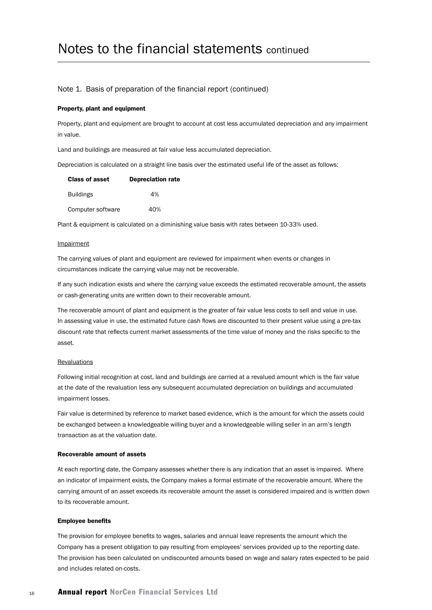#### Note 1. Basis of preparation of the financial report (continued)

#### Property, plant and equipment

Property, plant and equipment are brought to account at cost less accumulated depreciation and any impairment in value.

Land and buildings are measured at fair value less accumulated depreciation.

Depreciation is calculated on a straight line basis over the estimated useful life of the asset as follows:

| <b>Class of asset</b> | <b>Depreciation rate</b> |
|-----------------------|--------------------------|
| <b>Buildings</b>      | 4%                       |
| Computer software     | 40%                      |

Plant & equipment is calculated on a diminishing value basis with rates between 10-33% used.

#### Impairment

The carrying values of plant and equipment are reviewed for impairment when events or changes in circumstances indicate the carrying value may not be recoverable.

If any such indication exists and where the carrying value exceeds the estimated recoverable amount, the assets or cash-generating units are written down to their recoverable amount.

The recoverable amount of plant and equipment is the greater of fair value less costs to sell and value in use. In assessing value in use, the estimated future cash flows are discounted to their present value using a pre-tax discount rate that reflects current market assessments of the time value of money and the risks specific to the asset.

#### Revaluations

Following initial recognition at cost, land and buildings are carried at a revalued amount which is the fair value at the date of the revaluation less any subsequent accumulated depreciation on buildings and accumulated impairment losses.

Fair value is determined by reference to market based evidence, which is the amount for which the assets could be exchanged between a knowledgeable willing buyer and a knowledgeable willing seller in an arm's length transaction as at the valuation date.

#### Recoverable amount of assets

At each reporting date, the Company assesses whether there is any indication that an asset is impaired. Where an indicator of impairment exists, the Company makes a formal estimate of the recoverable amount. Where the carrying amount of an asset exceeds its recoverable amount the asset is considered impaired and is written down to its recoverable amount.

#### Employee benefits

The provision for employee benefits to wages, salaries and annual leave represents the amount which the Company has a present obligation to pay resulting from employees' services provided up to the reporting date. The provision has been calculated on undiscounted amounts based on wage and salary rates expected to be paid and includes related on-costs.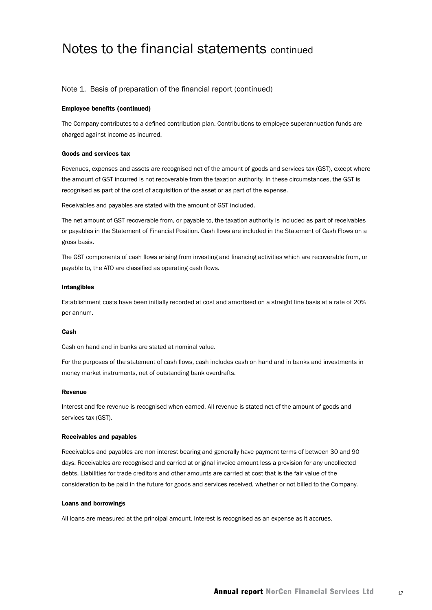#### Note 1. Basis of preparation of the financial report (continued)

#### Employee benefits (continued)

The Company contributes to a defined contribution plan. Contributions to employee superannuation funds are charged against income as incurred.

#### Goods and services tax

Revenues, expenses and assets are recognised net of the amount of goods and services tax (GST), except where the amount of GST incurred is not recoverable from the taxation authority. In these circumstances, the GST is recognised as part of the cost of acquisition of the asset or as part of the expense.

Receivables and payables are stated with the amount of GST included.

The net amount of GST recoverable from, or payable to, the taxation authority is included as part of receivables or payables in the Statement of Financial Position. Cash flows are included in the Statement of Cash Flows on a gross basis.

The GST components of cash flows arising from investing and financing activities which are recoverable from, or payable to, the ATO are classified as operating cash flows.

#### Intangibles

Establishment costs have been initially recorded at cost and amortised on a straight line basis at a rate of 20% per annum.

#### Cash

Cash on hand and in banks are stated at nominal value.

For the purposes of the statement of cash flows, cash includes cash on hand and in banks and investments in money market instruments, net of outstanding bank overdrafts.

#### Revenue

Interest and fee revenue is recognised when earned. All revenue is stated net of the amount of goods and services tax (GST).

#### Receivables and payables

Receivables and payables are non interest bearing and generally have payment terms of between 30 and 90 days. Receivables are recognised and carried at original invoice amount less a provision for any uncollected debts. Liabilities for trade creditors and other amounts are carried at cost that is the fair value of the consideration to be paid in the future for goods and services received, whether or not billed to the Company.

#### Loans and borrowings

All loans are measured at the principal amount. Interest is recognised as an expense as it accrues.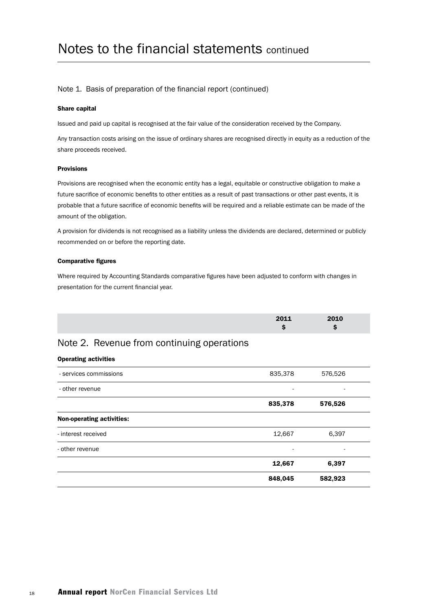#### Note 1. Basis of preparation of the financial report (continued)

#### Share capital

Issued and paid up capital is recognised at the fair value of the consideration received by the Company.

Any transaction costs arising on the issue of ordinary shares are recognised directly in equity as a reduction of the share proceeds received.

#### Provisions

Provisions are recognised when the economic entity has a legal, equitable or constructive obligation to make a future sacrifice of economic benefits to other entities as a result of past transactions or other past events, it is probable that a future sacrifice of economic benefits will be required and a reliable estimate can be made of the amount of the obligation.

A provision for dividends is not recognised as a liability unless the dividends are declared, determined or publicly recommended on or before the reporting date.

#### Comparative figures

Where required by Accounting Standards comparative figures have been adjusted to conform with changes in presentation for the current financial year.

| 2011 | 2010 |  |
|------|------|--|
| -    |      |  |

## Note 2. Revenue from continuing operations

#### Operating activities

|                                  | 848,045 | 582,923                  |
|----------------------------------|---------|--------------------------|
|                                  | 12,667  | 6,397                    |
| - other revenue                  | ۰       |                          |
| - interest received              | 12,667  | 6,397                    |
| <b>Non-operating activities:</b> |         |                          |
|                                  | 835,378 | 576,526                  |
| - other revenue                  | ۰       | $\overline{\phantom{a}}$ |
| - services commissions           | 835,378 | 576,526                  |
|                                  |         |                          |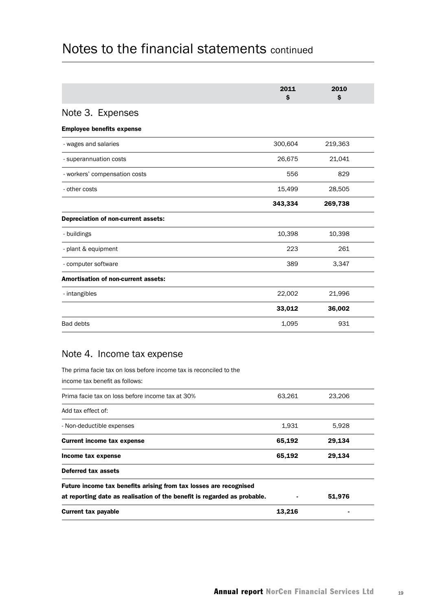|                                     | 2011<br>\$ | 2010<br>Ŝ |  |
|-------------------------------------|------------|-----------|--|
| Note 3. Expenses                    |            |           |  |
| <b>Employee benefits expense</b>    |            |           |  |
| - wages and salaries                | 300,604    | 219,363   |  |
| - superannuation costs              | 26,675     | 21,041    |  |
| - workers' compensation costs       | 556        | 829       |  |
| - other costs                       | 15,499     | 28,505    |  |
|                                     | 343,334    | 269,738   |  |
| Depreciation of non-current assets: |            |           |  |
| - buildings                         | 10,398     | 10,398    |  |
| - plant & equipment                 | 223        | 261       |  |
| - computer software                 | 389        | 3,347     |  |
| Amortisation of non-current assets: |            |           |  |
| - intangibles                       | 22,002     | 21,996    |  |
|                                     | 33,012     | 36,002    |  |
| <b>Bad debts</b>                    | 1,095      | 931       |  |

## Note 4. Income tax expense

The prima facie tax on loss before income tax is reconciled to the income tax benefit as follows:

| Prima facie tax on loss before income tax at 30%                         | 63.261 | 23,206 |  |
|--------------------------------------------------------------------------|--------|--------|--|
| Add tax effect of:                                                       |        |        |  |
| - Non-deductible expenses                                                | 1,931  | 5,928  |  |
| <b>Current income tax expense</b>                                        | 65,192 | 29,134 |  |
| Income tax expense                                                       | 65,192 | 29,134 |  |
| Deferred tax assets                                                      |        |        |  |
| Future income tax benefits arising from tax losses are recognised        |        |        |  |
| at reporting date as realisation of the benefit is regarded as probable. |        | 51,976 |  |
| <b>Current tax payable</b>                                               | 13,216 |        |  |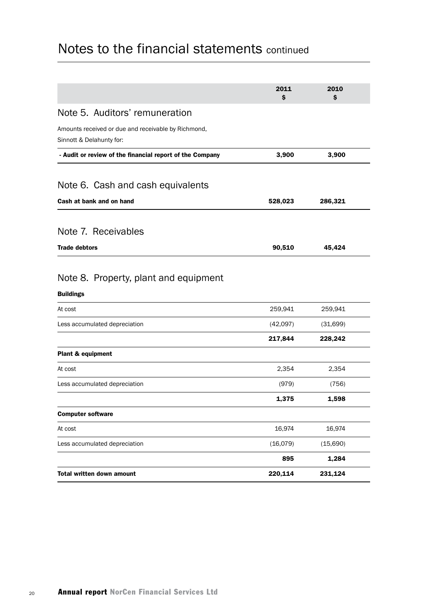|                                                                                 | 2011<br>\$ | 2010<br>S |  |
|---------------------------------------------------------------------------------|------------|-----------|--|
| Note 5. Auditors' remuneration                                                  |            |           |  |
| Amounts received or due and receivable by Richmond,<br>Sinnott & Delahunty for: |            |           |  |
| - Audit or review of the financial report of the Company                        | 3,900      | 3,900     |  |
| Note 6. Cash and cash equivalents                                               |            |           |  |
| Cash at bank and on hand                                                        | 528,023    | 286,321   |  |
| Note 7. Receivables                                                             |            |           |  |
| <b>Trade debtors</b>                                                            | 90,510     | 45,424    |  |
| Note 8. Property, plant and equipment<br><b>Buildings</b><br>At cost            | 259,941    | 259,941   |  |
| Less accumulated depreciation                                                   | (42,097)   | (31,699)  |  |
| Plant & equipment                                                               | 217,844    | 228,242   |  |
| At cost                                                                         | 2,354      | 2,354     |  |
| Less accumulated depreciation                                                   | (979)      | (756)     |  |
|                                                                                 | 1,375      | 1,598     |  |
| <b>Computer software</b>                                                        |            |           |  |
| At cost                                                                         | 16,974     | 16,974    |  |
| Less accumulated depreciation                                                   | (16,079)   | (15,690)  |  |
|                                                                                 | 895        | 1,284     |  |
| Total written down amount                                                       | 220,114    | 231,124   |  |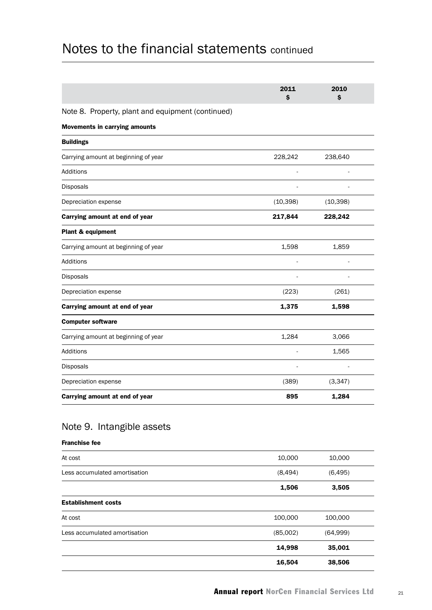|                                                   | 2011<br>\$ | 2010<br>S |  |
|---------------------------------------------------|------------|-----------|--|
| Note 8. Property, plant and equipment (continued) |            |           |  |
| <b>Movements in carrying amounts</b>              |            |           |  |
| <b>Buildings</b>                                  |            |           |  |
| Carrying amount at beginning of year              | 228,242    | 238,640   |  |
| <b>Additions</b>                                  |            |           |  |
| Disposals                                         |            |           |  |
| Depreciation expense                              | (10, 398)  | (10, 398) |  |
| Carrying amount at end of year                    | 217,844    | 228,242   |  |
| Plant & equipment                                 |            |           |  |
| Carrying amount at beginning of year              | 1,598      | 1,859     |  |
| <b>Additions</b>                                  |            |           |  |
| <b>Disposals</b>                                  |            |           |  |
| Depreciation expense                              | (223)      | (261)     |  |
| Carrying amount at end of year                    | 1,375      | 1,598     |  |
| <b>Computer software</b>                          |            |           |  |
| Carrying amount at beginning of year              | 1,284      | 3,066     |  |
| <b>Additions</b>                                  |            | 1,565     |  |
| Disposals                                         |            |           |  |
| Depreciation expense                              | (389)      | (3, 347)  |  |
| Carrying amount at end of year                    | 895        | 1,284     |  |

## Note 9. Intangible assets

### Franchise fee

| At cost                       | 10,000   | 10,000   |  |
|-------------------------------|----------|----------|--|
| Less accumulated amortisation | (8, 494) | (6, 495) |  |
|                               | 1,506    | 3,505    |  |
| <b>Establishment costs</b>    |          |          |  |
| At cost                       | 100,000  | 100,000  |  |
| Less accumulated amortisation | (85,002) | (64,999) |  |
|                               | 14,998   | 35,001   |  |
|                               | 16,504   | 38,506   |  |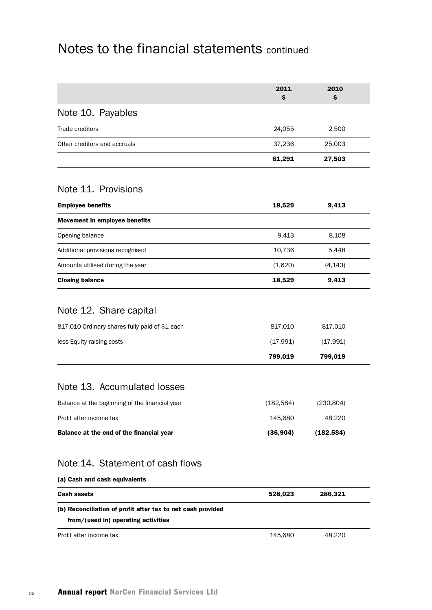|                                                | 2011<br>\$ | 2010<br>Ŝ. |  |
|------------------------------------------------|------------|------------|--|
| Note 10. Payables                              |            |            |  |
| Trade creditors                                | 24,055     | 2,500      |  |
| Other creditors and accruals                   | 37,236     | 25,003     |  |
|                                                | 61,291     | 27,503     |  |
| Note 11. Provisions                            |            |            |  |
| <b>Employee benefits</b>                       | 18,529     | 9,413      |  |
| Movement in employee benefits                  |            |            |  |
| Opening balance                                | 9,413      | 8,108      |  |
| Additional provisions recognised               | 10,736     | 5,448      |  |
| Amounts utilised during the year               | (1,620)    | (4, 143)   |  |
| <b>Closing balance</b>                         | 18,529     | 9,413      |  |
| Note 12. Share capital                         |            |            |  |
| 817,010 Ordinary shares fully paid of \$1 each | 817,010    | 817,010    |  |
| less Equity raising costs                      | (17,991)   | (17,991)   |  |
|                                                | 799,019    | 799,019    |  |
|                                                |            |            |  |

## Note 13. Accumulated losses

| Balance at the end of the financial year       | (36.904)  | (182.584) |  |
|------------------------------------------------|-----------|-----------|--|
| Profit after income tax                        | 145.680   | 48.220    |  |
| Balance at the beginning of the financial year | (182.584) | (230.804) |  |

## Note 14. Statement of cash flows

| (a) Cash and cash equivalents                                                                      |         |         |  |
|----------------------------------------------------------------------------------------------------|---------|---------|--|
| <b>Cash assets</b>                                                                                 | 528.023 | 286.321 |  |
| (b) Reconciliation of profit after tax to net cash provided<br>from/(used in) operating activities |         |         |  |
| Profit after income tax                                                                            | 145.680 | 48.220  |  |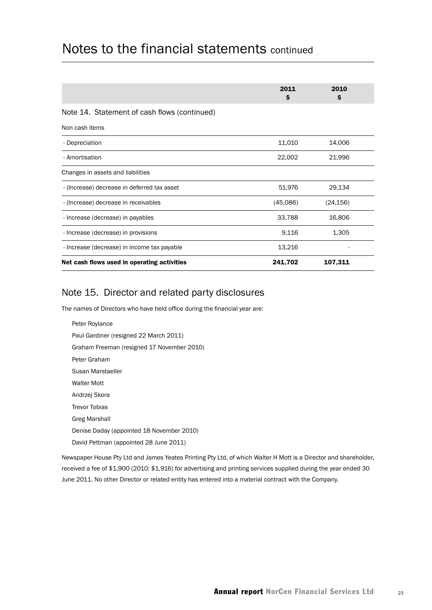|                                              | 2011<br>\$ | 2010<br>\$ |  |
|----------------------------------------------|------------|------------|--|
| Note 14. Statement of cash flows (continued) |            |            |  |
| Non cash items                               |            |            |  |
| - Depreciation                               | 11,010     | 14,006     |  |
| - Amortisation                               | 22,002     | 21,996     |  |
| Changes in assets and liabilities            |            |            |  |
| - (Increase) decrease in deferred tax asset  | 51,976     | 29,134     |  |
| - (Increase) decrease in receivables         | (45,086)   | (24, 156)  |  |
| - Increase (decrease) in payables            | 33,788     | 16,806     |  |
| - Increase (decrease) in provisions          | 9,116      | 1,305      |  |
| - Increase (decrease) in income tax payable  | 13,216     |            |  |
| Net cash flows used in operating activities  | 241,702    | 107,311    |  |

## Note 15. Director and related party disclosures

The names of Directors who have held office during the financial year are:

Peter Roylance Paul Gardiner (resigned 22 March 2011) Graham Freeman (resigned 17 November 2010) Peter Graham Susan Marstaeller Walter Mott Andrzej Skora Trevor Tobias Greg Marshall Denise Daday (appointed 18 November 2010) David Pettman (appointed 28 June 2011)

Newspaper House Pty Ltd and James Yeates Printing Pty Ltd, of which Walter H Mott is a Director and shareholder, received a fee of \$1,900 (2010: \$1,916) for advertising and printing services supplied during the year ended 30 June 2011. No other Director or related entity has entered into a material contract with the Company.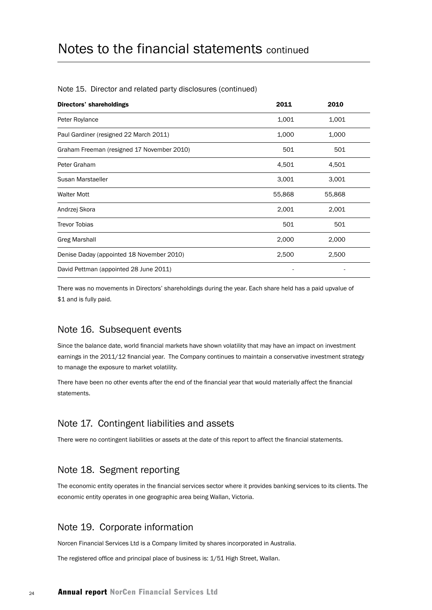| Directors' shareholdings                   | 2011   | 2010   |
|--------------------------------------------|--------|--------|
| Peter Roylance                             | 1,001  | 1,001  |
| Paul Gardiner (resigned 22 March 2011)     | 1,000  | 1,000  |
| Graham Freeman (resigned 17 November 2010) | 501    | 501    |
| Peter Graham                               | 4,501  | 4,501  |
| Susan Marstaeller                          | 3,001  | 3,001  |
| <b>Walter Mott</b>                         | 55,868 | 55,868 |
| Andrzej Skora                              | 2,001  | 2,001  |
| <b>Trevor Tobias</b>                       | 501    | 501    |
| <b>Greg Marshall</b>                       | 2,000  | 2,000  |
| Denise Daday (appointed 18 November 2010)  | 2,500  | 2,500  |
| David Pettman (appointed 28 June 2011)     |        |        |

#### Note 15. Director and related party disclosures (continued)

There was no movements in Directors' shareholdings during the year. Each share held has a paid upvalue of \$1 and is fully paid.

### Note 16. Subsequent events

Since the balance date, world financial markets have shown volatility that may have an impact on investment earnings in the 2011/12 financial year. The Company continues to maintain a conservative investment strategy to manage the exposure to market volatility.

There have been no other events after the end of the financial year that would materially affect the financial statements.

### Note 17. Contingent liabilities and assets

There were no contingent liabilities or assets at the date of this report to affect the financial statements.

### Note 18. Segment reporting

The economic entity operates in the financial services sector where it provides banking services to its clients. The economic entity operates in one geographic area being Wallan, Victoria.

### Note 19. Corporate information

Norcen Financial Services Ltd is a Company limited by shares incorporated in Australia.

The registered office and principal place of business is: 1/51 High Street, Wallan.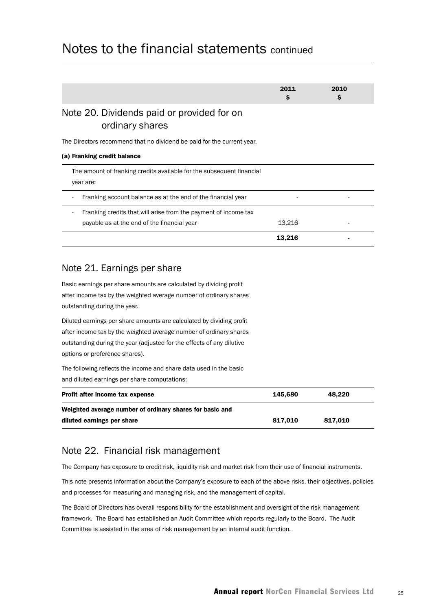|                                                                                    | 2011<br>s | 2010<br>S |
|------------------------------------------------------------------------------------|-----------|-----------|
| Note 20. Dividends paid or provided for on<br>ordinary shares                      |           |           |
| The Directors recommend that no dividend be paid for the current year.             |           |           |
| (a) Franking credit balance                                                        |           |           |
| The amount of franking credits available for the subsequent financial<br>year are: |           |           |
| Franking account balance as at the end of the financial year                       |           |           |
| Franking credits that will arise from the payment of income tax                    |           |           |
| payable as at the end of the financial year                                        | 13,216    |           |
|                                                                                    | 13,216    |           |

### Note 21. Earnings per share

Basic earnings per share amounts are calculated by dividing profit after income tax by the weighted average number of ordinary shares outstanding during the year.

Diluted earnings per share amounts are calculated by dividing profit after income tax by the weighted average number of ordinary shares outstanding during the year (adjusted for the effects of any dilutive options or preference shares).

The following reflects the income and share data used in the basic and diluted earnings per share computations:

| Profit after income tax expense                          | 145.680 | 48.220  |
|----------------------------------------------------------|---------|---------|
| Weighted average number of ordinary shares for basic and |         |         |
| diluted earnings per share                               | 817.010 | 817.010 |

## Note 22. Financial risk management

The Company has exposure to credit risk, liquidity risk and market risk from their use of financial instruments.

This note presents information about the Company's exposure to each of the above risks, their objectives, policies and processes for measuring and managing risk, and the management of capital.

The Board of Directors has overall responsibility for the establishment and oversight of the risk management framework. The Board has established an Audit Committee which reports regularly to the Board. The Audit Committee is assisted in the area of risk management by an internal audit function.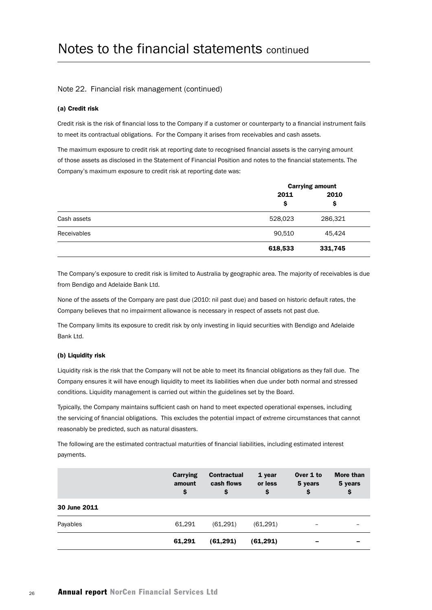#### Note 22. Financial risk management (continued)

#### (a) Credit risk

Credit risk is the risk of financial loss to the Company if a customer or counterparty to a financial instrument fails to meet its contractual obligations. For the Company it arises from receivables and cash assets.

The maximum exposure to credit risk at reporting date to recognised financial assets is the carrying amount of those assets as disclosed in the Statement of Financial Position and notes to the financial statements. The Company's maximum exposure to credit risk at reporting date was:

|                    | <b>Carrying amount</b> |            |  |
|--------------------|------------------------|------------|--|
|                    | 2011<br>\$             | 2010<br>\$ |  |
| Cash assets        | 528,023                | 286,321    |  |
| <b>Receivables</b> | 90,510                 | 45,424     |  |
|                    | 618,533                | 331,745    |  |

The Company's exposure to credit risk is limited to Australia by geographic area. The majority of receivables is due from Bendigo and Adelaide Bank Ltd.

None of the assets of the Company are past due (2010: nil past due) and based on historic default rates, the Company believes that no impairment allowance is necessary in respect of assets not past due.

The Company limits its exposure to credit risk by only investing in liquid securities with Bendigo and Adelaide Bank Ltd.

#### (b) Liquidity risk

Liquidity risk is the risk that the Company will not be able to meet its financial obligations as they fall due. The Company ensures it will have enough liquidity to meet its liabilities when due under both normal and stressed conditions. Liquidity management is carried out within the guidelines set by the Board.

Typically, the Company maintains sufficient cash on hand to meet expected operational expenses, including the servicing of financial obligations. This excludes the potential impact of extreme circumstances that cannot reasonably be predicted, such as natural disasters.

The following are the estimated contractual maturities of financial liabilities, including estimated interest payments.

|              | Carrying<br>amount<br>\$ | <b>Contractual</b><br>cash flows<br>\$ | 1 year<br>or less<br>\$ | Over 1 to<br>5 years<br>\$ | More than<br>5 years<br>\$ |
|--------------|--------------------------|----------------------------------------|-------------------------|----------------------------|----------------------------|
| 30 June 2011 |                          |                                        |                         |                            |                            |
| Payables     | 61,291                   | (61, 291)                              | (61, 291)               | -                          |                            |
|              | 61,291                   | (61, 291)                              | (61, 291)               | -                          |                            |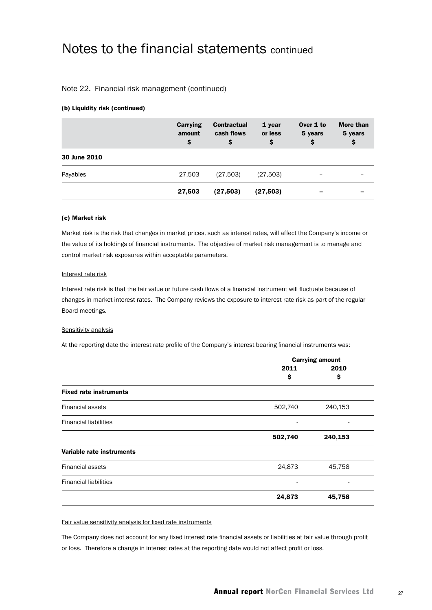#### Note 22. Financial risk management (continued)

#### (b) Liquidity risk (continued)

|              | Carrying<br>amount<br>\$ | <b>Contractual</b><br>cash flows<br>\$ | 1 year<br>or less<br>\$ | Over 1 to<br>5 years<br>\$ | <b>More than</b><br>5 years<br>\$ |
|--------------|--------------------------|----------------------------------------|-------------------------|----------------------------|-----------------------------------|
| 30 June 2010 |                          |                                        |                         |                            |                                   |
| Payables     | 27,503                   | (27,503)                               | (27,503)                | -                          |                                   |
|              | 27,503                   | (27, 503)                              | (27, 503)               | -                          |                                   |

#### (c) Market risk

Market risk is the risk that changes in market prices, such as interest rates, will affect the Company's income or the value of its holdings of financial instruments. The objective of market risk management is to manage and control market risk exposures within acceptable parameters.

#### Interest rate risk

Interest rate risk is that the fair value or future cash flows of a financial instrument will fluctuate because of changes in market interest rates. The Company reviews the exposure to interest rate risk as part of the regular Board meetings.

#### Sensitivity analysis

At the reporting date the interest rate profile of the Company's interest bearing financial instruments was:

|                               |         | <b>Carrying amount</b> |  |  |
|-------------------------------|---------|------------------------|--|--|
|                               | 2011    | 2010                   |  |  |
|                               | \$      | \$                     |  |  |
| <b>Fixed rate instruments</b> |         |                        |  |  |
| <b>Financial assets</b>       | 502,740 | 240,153                |  |  |
| <b>Financial liabilities</b>  |         |                        |  |  |
|                               | 502,740 | 240,153                |  |  |
| Variable rate instruments     |         |                        |  |  |
| <b>Financial assets</b>       | 24,873  | 45,758                 |  |  |
| <b>Financial liabilities</b>  | ٠       |                        |  |  |
|                               | 24,873  | 45,758                 |  |  |
|                               |         |                        |  |  |

Fair value sensitivity analysis for fixed rate instruments

The Company does not account for any fixed interest rate financial assets or liabilities at fair value through profit or loss. Therefore a change in interest rates at the reporting date would not affect profit or loss.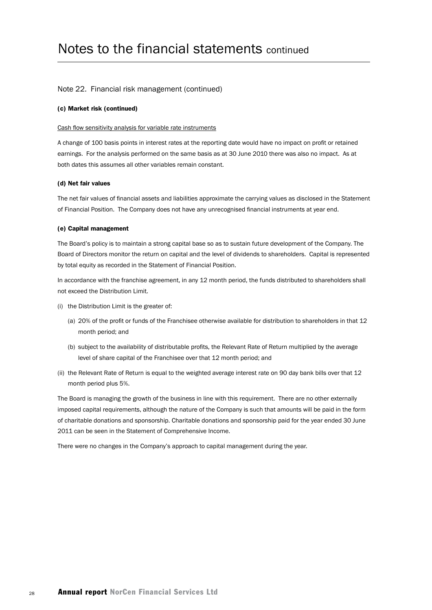#### Note 22. Financial risk management (continued)

#### (c) Market risk (continued)

#### Cash flow sensitivity analysis for variable rate instruments

A change of 100 basis points in interest rates at the reporting date would have no impact on profit or retained earnings. For the analysis performed on the same basis as at 30 June 2010 there was also no impact. As at both dates this assumes all other variables remain constant.

#### (d) Net fair values

The net fair values of financial assets and liabilities approximate the carrying values as disclosed in the Statement of Financial Position. The Company does not have any unrecognised financial instruments at year end.

#### (e) Capital management

The Board's policy is to maintain a strong capital base so as to sustain future development of the Company. The Board of Directors monitor the return on capital and the level of dividends to shareholders. Capital is represented by total equity as recorded in the Statement of Financial Position.

In accordance with the franchise agreement, in any 12 month period, the funds distributed to shareholders shall not exceed the Distribution Limit.

- (i) the Distribution Limit is the greater of:
	- (a) 20% of the profit or funds of the Franchisee otherwise available for distribution to shareholders in that 12 month period; and
	- (b) subject to the availability of distributable profits, the Relevant Rate of Return multiplied by the average level of share capital of the Franchisee over that 12 month period; and
- (ii) the Relevant Rate of Return is equal to the weighted average interest rate on 90 day bank bills over that 12 month period plus 5%.

The Board is managing the growth of the business in line with this requirement. There are no other externally imposed capital requirements, although the nature of the Company is such that amounts will be paid in the form of charitable donations and sponsorship. Charitable donations and sponsorship paid for the year ended 30 June 2011 can be seen in the Statement of Comprehensive Income.

There were no changes in the Company's approach to capital management during the year.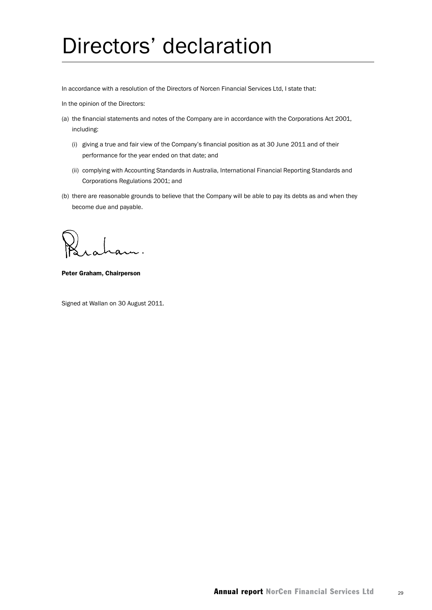# Directors' declaration

In accordance with a resolution of the Directors of Norcen Financial Services Ltd, I state that:

In the opinion of the Directors:

- (a) the financial statements and notes of the Company are in accordance with the Corporations Act 2001, including:
	- (i) giving a true and fair view of the Company's financial position as at 30 June 2011 and of their performance for the year ended on that date; and
	- (ii) complying with Accounting Standards in Australia, International Financial Reporting Standards and Corporations Regulations 2001; and
- (b) there are reasonable grounds to believe that the Company will be able to pay its debts as and when they become due and payable.

Peter Graham, Chairperson

Signed at Wallan on 30 August 2011.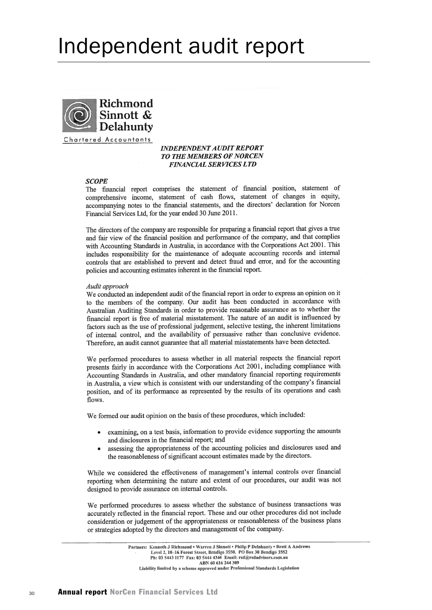# Independent audit report



Chartered Accountants

#### **INDEPENDENT AUDIT REPORT TO THE MEMBERS OF NORCEN FINANCIAL SERVICES LTD**

#### **SCOPE**

The financial report comprises the statement of financial position, statement of comprehensive income, statement of cash flows, statement of changes in equity, accompanying notes to the financial statements, and the directors' declaration for Norcen Financial Services Ltd, for the year ended 30 June 2011.

The directors of the company are responsible for preparing a financial report that gives a true and fair view of the financial position and performance of the company, and that complies with Accounting Standards in Australia, in accordance with the Corporations Act 2001. This includes responsibility for the maintenance of adequate accounting records and internal controls that are established to prevent and detect fraud and error, and for the accounting policies and accounting estimates inherent in the financial report.

#### Audit approach

We conducted an independent audit of the financial report in order to express an opinion on it to the members of the company. Our audit has been conducted in accordance with Australian Auditing Standards in order to provide reasonable assurance as to whether the financial report is free of material misstatement. The nature of an audit is influenced by factors such as the use of professional judgement, selective testing, the inherent limitations of internal control, and the availability of persuasive rather than conclusive evidence. Therefore, an audit cannot guarantee that all material misstatements have been detected.

We performed procedures to assess whether in all material respects the financial report presents fairly in accordance with the Corporations Act 2001, including compliance with Accounting Standards in Australia, and other mandatory financial reporting requirements in Australia, a view which is consistent with our understanding of the company's financial position, and of its performance as represented by the results of its operations and cash flows.

We formed our audit opinion on the basis of these procedures, which included:

- examining, on a test basis, information to provide evidence supporting the amounts and disclosures in the financial report; and
- assessing the appropriateness of the accounting policies and disclosures used and the reasonableness of significant account estimates made by the directors.

While we considered the effectiveness of management's internal controls over financial reporting when determining the nature and extent of our procedures, our audit was not designed to provide assurance on internal controls.

We performed procedures to assess whether the substance of business transactions was accurately reflected in the financial report. These and our other procedures did not include consideration or judgement of the appropriateness or reasonableness of the business plans or strategies adopted by the directors and management of the company.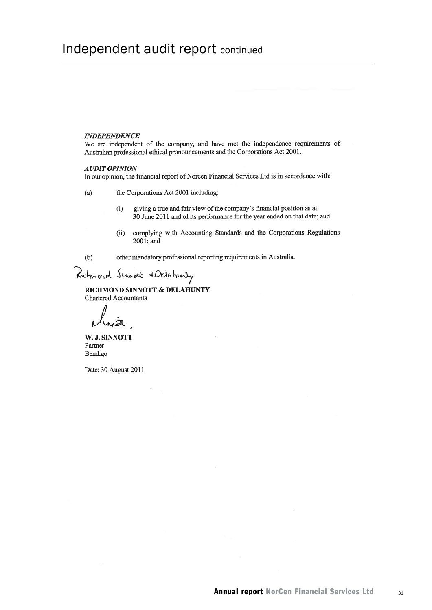## Independent audit report continued

#### **INDEPENDENCE**

We are independent of the company, and have met the independence requirements of Australian professional ethical pronouncements and the Corporations Act 2001.

#### **AUDIT OPINION**

In our opinion, the financial report of Norcen Financial Services Ltd is in accordance with:

 $(a)$ the Corporations Act 2001 including:

- giving a true and fair view of the company's financial position as at  $(i)$ 30 June 2011 and of its performance for the year ended on that date; and
- complying with Accounting Standards and the Corporations Regulations  $(ii)$ 2001; and

 $(b)$ 

other mandatory professional reporting requirements in Australia.

Richmond Script & Delahunty

RICHMOND SINNOTT & DELAHUNTY Chartered Accountants

W. J. SINNOTT Partner Bendigo

Date: 30 August 2011